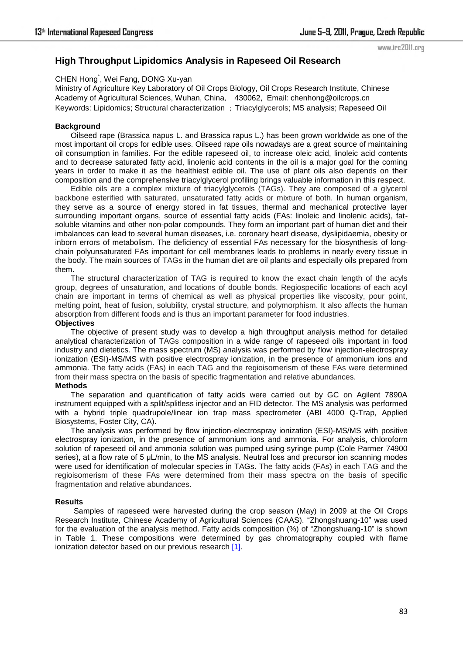#### www.irc2011.org

# **High Throughput Lipidomics Analysis in Rapeseed Oil Research**

## CHEN Hong\* , Wei Fang, DONG Xu-yan

Ministry of Agriculture Key Laboratory of Oil Crops Biology, Oil Crops Research Institute, Chinese Academy of Agricultural Sciences, Wuhan, China, 430062, Email: chenhong@oilcrops.cn Keywords: Lipidomics; Structural characterization ; Triacylglycerols; MS analysis; Rapeseed Oil

### **Background**

Oilseed rape (Brassica napus L. and Brassica rapus L.) has been grown worldwide as one of the most important oil crops for edible uses. Oilseed rape oils nowadays are a great source of maintaining oil consumption in families. For the edible rapeseed oil, to increase oleic acid, linoleic acid contents and to decrease saturated fatty acid, linolenic acid contents in the oil is a major goal for the coming years in order to make it as the healthiest edible oil. The use of plant oils also depends on their composition and the comprehensive triacylglycerol profiling brings valuable information in this respect.

Edible oils are a complex mixture of triacylglycerols (TAGs). They are composed of a glycerol backbone esterified with saturated, unsaturated fatty acids or mixture of both. In human organism, they serve as a source of energy stored in fat tissues, thermal and mechanical protective layer surrounding important organs, source of essential fatty acids (FAs: linoleic and linolenic acids), fatsoluble vitamins and other non-polar compounds. They form an important part of human diet and their imbalances can lead to several human diseases, i.e. coronary heart disease, dyslipidaemia, obesity or inborn errors of metabolism. The deficiency of essential FAs necessary for the biosynthesis of longchain polyunsaturated FAs important for cell membranes leads to problems in nearly every tissue in the body. The main sources of TAGs in the human diet are oil plants and especially oils prepared from them.

The structural characterization of TAG is required to know the exact chain length of the acyls group, degrees of unsaturation, and locations of double bonds. Regiospecific locations of each acyl chain are important in terms of chemical as well as physical properties like viscosity, pour point, melting point, heat of fusion, solubility, crystal structure, and polymorphism. It also affects the human absorption from different foods and is thus an important parameter for food industries.

### **Objectives**

The objective of present study was to develop a high throughput analysis method for detailed analytical characterization of TAGs composition in a wide range of rapeseed oils important in food industry and dietetics. The mass spectrum (MS) analysis was performed by flow injection-electrospray ionization (ESI)-MS/MS with positive electrospray ionization, in the presence of ammonium ions and ammonia. The fatty acids (FAs) in each TAG and the regioisomerism of these FAs were determined from their mass spectra on the basis of specific fragmentation and relative abundances.

### **Methods**

The separation and quantification of fatty acids were carried out by GC on Agilent 7890A instrument equipped with a split/splitless injector and an FID detector. The MS analysis was performed with a hybrid triple quadrupole/linear ion trap mass spectrometer (ABI 4000 Q-Trap, Applied Biosystems, Foster City, CA).

The analysis was performed by flow injection-electrospray ionization (ESI)-MS/MS with positive electrospray ionization, in the presence of ammonium ions and ammonia. For analysis, chloroform solution of rapeseed oil and ammonia solution was pumped using syringe pump (Cole Parmer 74900 series), at a flow rate of 5  $\mu$ L/min, to the MS analysis. Neutral loss and precursor ion scanning modes were used for identification of molecular species in TAGs. The fatty acids (FAs) in each TAG and the regioisomerism of these FAs were determined from their mass spectra on the basis of specific fragmentation and relative abundances.

#### **Results**

Samples of rapeseed were harvested during the crop season (May) in 2009 at the Oil Crops Research Institute, Chinese Academy of Agricultural Sciences (CAAS). "Zhongshuang-10" was used for the evaluation of the analysis method. Fatty acids composition (%) of "Zhongshuang-10" is shown in Table 1. These compositions were determined by gas chromatography coupled with flame ionization detector based on our previous research [1].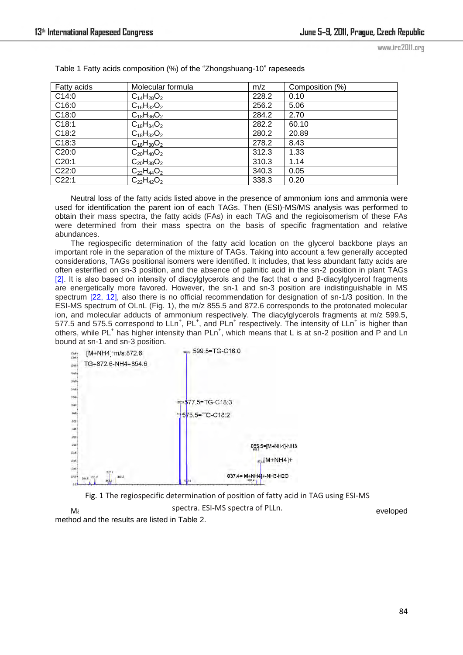www.irc2011.org

| Fatty acids | Molecular formula | m/z   | Composition (%) |
|-------------|-------------------|-------|-----------------|
| C14:0       | $C_{14}H_{28}O_2$ | 228.2 | 0.10            |
| C16:0       | $C_{16}H_{32}O_2$ | 256.2 | 5.06            |
| C18:0       | $C_{18}H_{36}O_2$ | 284.2 | 2.70            |
| C18:1       | $C_{18}H_{34}O_2$ | 282.2 | 60.10           |
| C18:2       | $C_{18}H_{32}O_2$ | 280.2 | 20.89           |
| C18:3       | $C_{18}H_{30}O_2$ | 278.2 | 8.43            |
| C20:0       | $C_{20}H_{40}O_2$ | 312.3 | 1.33            |
| C20:1       | $C_{20}H_{38}O_2$ | 310.3 | 1.14            |
| C22:0       | $C_{22}H_{44}O_2$ | 340.3 | 0.05            |
| C22:1       | $C_{22}H_{42}O_2$ | 338.3 | 0.20            |

Table 1 Fatty acids composition (%) of the "Zhongshuang-10" rapeseeds

Neutral loss of the fatty acids listed above in the presence of ammonium ions and ammonia were used for identification the parent ion of each TAGs. Then (ESI)-MS/MS analysis was performed to obtain their mass spectra, the fatty acids (FAs) in each TAG and the regioisomerism of these FAs were determined from their mass spectra on the basis of specific fragmentation and relative abundances.

The regiospecific determination of the fatty acid location on the glycerol backbone plays an important role in the separation of the mixture of TAGs. Taking into account a few generally accepted considerations, TAGs positional isomers were identified. It includes, that less abundant fatty acids are often esterified on sn-3 position, and the absence of palmitic acid in the sn-2 position in plant TAGs [2]. It is also based on intensity of diacylglycerols and the fact that α and β-diacylglycerol fragments are energetically more favored. However, the sn-1 and sn-3 position are indistinguishable in MS spectrum [22, 12], also there is no official recommendation for designation of sn-1/3 position. In the ESI-MS spectrum of OLnL (Fig. 1), the m/z 855.5 and 872.6 corresponds to the protonated molecular ion, and molecular adducts of ammonium respectively. The diacylglycerols fragments at m/z 599.5, 577.5 and 575.5 correspond to  $LLn^{+}$ ,  $PL^{+}$ , and  $PLn^{+}$  respectively. The intensity of  $LLn^{+}$  is higher than others, while PL<sup>+</sup> has higher intensity than PLn<sup>+</sup>, which means that L is at sn-2 position and P and Ln bound at sn-1 and sn-3 position.



Minor management of minor molecular spectra. ESI-MS spectra of PLLn. method and the results are listed in Table 2. Fig. 1 The regiospecific determination of position of fatty acid in TAG using ESI-MS